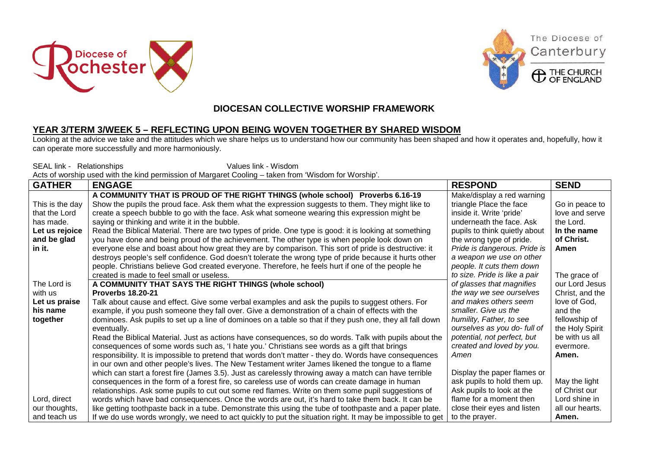





The Diocese of

Canterbury

## **DIOCESAN COLLECTIVE WORSHIP FRAMEWORK**

## **YEAR 3/TERM 3/WEEK 5 – REFLECTING UPON BEING WOVEN TOGETHER BY SHARED WISDOM**

Looking at the advice we take and the attitudes which we share helps us to understand how our community has been shaped and how it operates and, hopefully, how it can operate more successfully and more harmoniously.

SEAL link - Relationships Values link - Wisdom Acts of worship used with the kind permission of Margaret Cooling – taken from 'Wisdom for Worship'.

| <b>GATHER</b>   | <b>ENGAGE</b>                                                                                              | <b>RESPOND</b>                | <b>SEND</b>     |
|-----------------|------------------------------------------------------------------------------------------------------------|-------------------------------|-----------------|
|                 | A COMMUNITY THAT IS PROUD OF THE RIGHT THINGS (whole school) Proverbs 6.16-19                              | Make/display a red warning    |                 |
| This is the day | Show the pupils the proud face. Ask them what the expression suggests to them. They might like to          | triangle Place the face       | Go in peace to  |
| that the Lord   | create a speech bubble to go with the face. Ask what someone wearing this expression might be              | inside it. Write 'pride'      | love and serve  |
| has made.       | saying or thinking and write it in the bubble.                                                             | underneath the face. Ask      | the Lord.       |
| Let us rejoice  | Read the Biblical Material. There are two types of pride. One type is good: it is looking at something     | pupils to think quietly about | In the name     |
| and be glad     | you have done and being proud of the achievement. The other type is when people look down on               | the wrong type of pride.      | of Christ.      |
| in it.          | everyone else and boast about how great they are by comparison. This sort of pride is destructive: it      | Pride is dangerous. Pride is  | Amen            |
|                 | destroys people's self confidence. God doesn't tolerate the wrong type of pride because it hurts other     | a weapon we use on other      |                 |
|                 | people. Christians believe God created everyone. Therefore, he feels hurt if one of the people he          | people. It cuts them down     |                 |
|                 | created is made to feel small or useless.                                                                  | to size. Pride is like a pair | The grace of    |
| The Lord is     | A COMMUNITY THAT SAYS THE RIGHT THINGS (whole school)                                                      | of glasses that magnifies     | our Lord Jesus  |
| with us         | <b>Proverbs 18.20-21</b>                                                                                   | the way we see ourselves      | Christ, and the |
| Let us praise   | Talk about cause and effect. Give some verbal examples and ask the pupils to suggest others. For           | and makes others seem         | love of God,    |
| his name        | example, if you push someone they fall over. Give a demonstration of a chain of effects with the           | smaller. Give us the          | and the         |
| together        | dominoes. Ask pupils to set up a line of dominoes on a table so that if they push one, they all fall down  | humility, Father, to see      | fellowship of   |
|                 | eventually.                                                                                                | ourselves as you do- full of  | the Holy Spirit |
|                 | Read the Biblical Material. Just as actions have consequences, so do words. Talk with pupils about the     | potential, not perfect, but   | be with us all  |
|                 | consequences of some words such as, 'I hate you.' Christians see words as a gift that brings               | created and loved by you.     | evermore.       |
|                 | responsibility. It is impossible to pretend that words don't matter - they do. Words have consequences     | Amen                          | Amen.           |
|                 | in our own and other people's lives. The New Testament writer James likened the tongue to a flame          |                               |                 |
|                 | which can start a forest fire (James 3.5). Just as carelessly throwing away a match can have terrible      | Display the paper flames or   |                 |
|                 | consequences in the form of a forest fire, so careless use of words can create damage in human             | ask pupils to hold them up.   | May the light   |
|                 | relationships. Ask some pupils to cut out some red flames. Write on them some pupil suggestions of         | Ask pupils to look at the     | of Christ our   |
| Lord, direct    | words which have bad consequences. Once the words are out, it's hard to take them back. It can be          | flame for a moment then       | Lord shine in   |
| our thoughts,   | like getting toothpaste back in a tube. Demonstrate this using the tube of toothpaste and a paper plate.   | close their eyes and listen   | all our hearts. |
| and teach us    | If we do use words wrongly, we need to act quickly to put the situation right. It may be impossible to get | to the prayer.                | Amen.           |